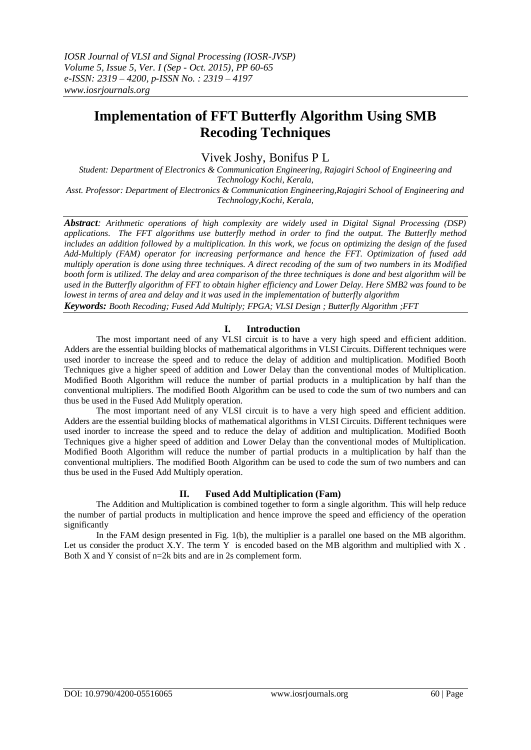# **Implementation of FFT Butterfly Algorithm Using SMB Recoding Techniques**

Vivek Joshy, Bonifus P L

*Student: Department of Electronics & Communication Engineering, Rajagiri School of Engineering and Technology Kochi, Kerala, Asst. Professor: Department of Electronics & Communication Engineering,Rajagiri School of Engineering and Technology,Kochi, Kerala,*

*Abstract: Arithmetic operations of high complexity are widely used in Digital Signal Processing (DSP) applications. The FFT algorithms use butterfly method in order to find the output. The Butterfly method includes an addition followed by a multiplication. In this work, we focus on optimizing the design of the fused Add-Multiply (FAM) operator for increasing performance and hence the FFT. Optimization of fused add multiply operation is done using three techniques. A direct recoding of the sum of two numbers in its Modified booth form is utilized. The delay and area comparison of the three techniques is done and best algorithm will be used in the Butterfly algorithm of FFT to obtain higher efficiency and Lower Delay. Here SMB2 was found to be lowest in terms of area and delay and it was used in the implementation of butterfly algorithm Keywords: Booth Recoding; Fused Add Multiply; FPGA; VLSI Design ; Butterfly Algorithm ;FFT*

## **I. Introduction**

The most important need of any VLSI circuit is to have a very high speed and efficient addition. Adders are the essential building blocks of mathematical algorithms in VLSI Circuits. Different techniques were used inorder to increase the speed and to reduce the delay of addition and multiplication. Modified Booth Techniques give a higher speed of addition and Lower Delay than the conventional modes of Multiplication. Modified Booth Algorithm will reduce the number of partial products in a multiplication by half than the conventional multipliers. The modified Booth Algorithm can be used to code the sum of two numbers and can thus be used in the Fused Add Mulitply operation.

The most important need of any VLSI circuit is to have a very high speed and efficient addition. Adders are the essential building blocks of mathematical algorithms in VLSI Circuits. Different techniques were used inorder to increase the speed and to reduce the delay of addition and multiplication. Modified Booth Techniques give a higher speed of addition and Lower Delay than the conventional modes of Multiplication. Modified Booth Algorithm will reduce the number of partial products in a multiplication by half than the conventional multipliers. The modified Booth Algorithm can be used to code the sum of two numbers and can thus be used in the Fused Add Multiply operation.

## **II. Fused Add Multiplication (Fam)**

The Addition and Multiplication is combined together to form a single algorithm. This will help reduce the number of partial products in multiplication and hence improve the speed and efficiency of the operation significantly

In the FAM design presented in Fig. 1(b), the multiplier is a parallel one based on the MB algorithm. Let us consider the product X.Y. The term Y is encoded based on the MB algorithm and multiplied with X. Both X and Y consist of n=2k bits and are in 2s complement form.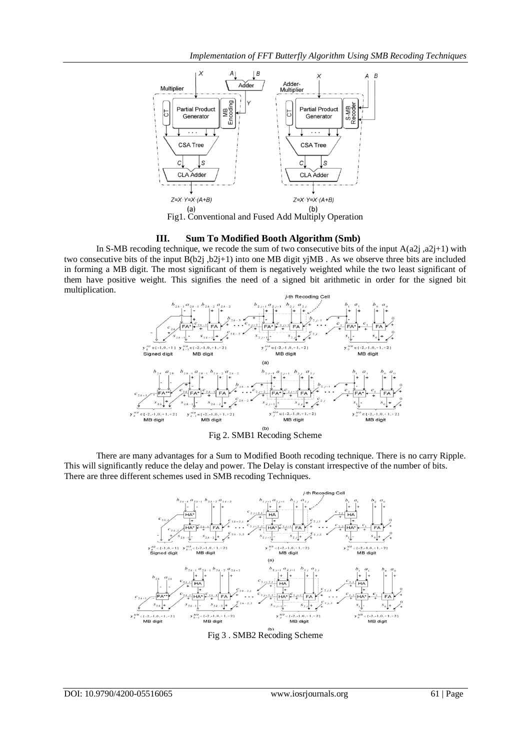

#### **III. Sum To Modified Booth Algorithm (Smb)**

In S-MB recoding technique, we recode the sum of two consecutive bits of the input  $A(a2j, a2j+1)$  with two consecutive bits of the input  $B(b2j, b2j+1)$  into one MB digit yjMB. As we observe three bits are included in forming a MB digit. The most significant of them is negatively weighted while the two least significant of them have positive weight. This signifies the need of a signed bit arithmetic in order for the signed bit multiplication.



Fig 2. SMB1 Recoding Scheme

There are many advantages for a Sum to Modified Booth recoding technique. There is no carry Ripple. This will significantly reduce the delay and power. The Delay is constant irrespective of the number of bits. There are three different schemes used in SMB recoding Techniques.



DOI: 10.9790/4200-05516065 www.iosrjournals.org 61 | Page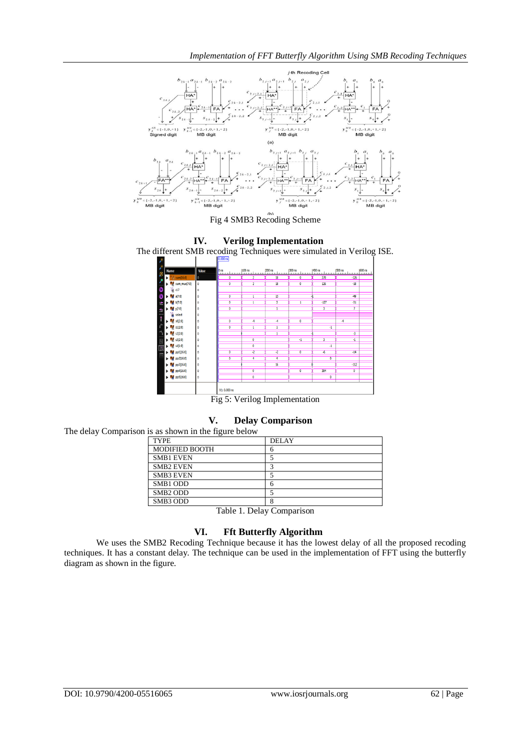

Fig 4 SMB3 Recoding Scheme

## **IV. Verilog Implementation**

The different SMB recoding Techniques were simulated in Verilog ISE.



Fig 5: Verilog Implementation

**V. Delay Comparison**



Table 1. Delay Comparison

## **VI. Fft Butterfly Algorithm**

We uses the SMB2 Recoding Technique because it has the lowest delay of all the proposed recoding techniques. It has a constant delay. The technique can be used in the implementation of FFT using the butterfly diagram as shown in the figure.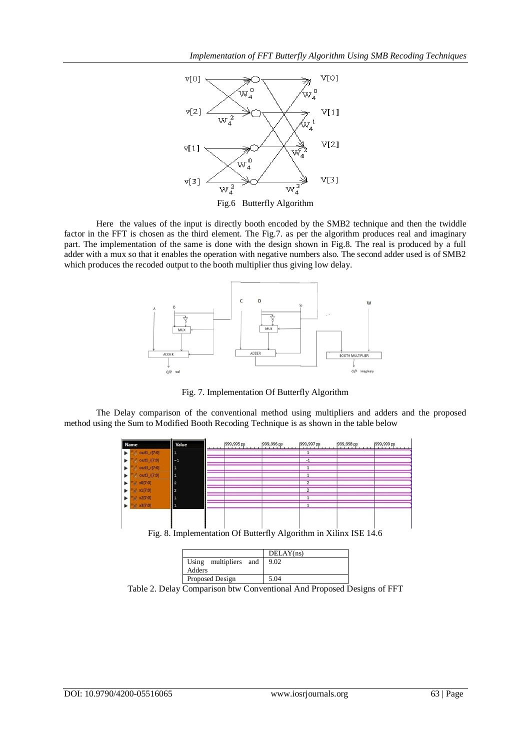

Here the values of the input is directly booth encoded by the SMB2 technique and then the twiddle factor in the FFT is chosen as the third element. The Fig.7. as per the algorithm produces real and imaginary part. The implementation of the same is done with the design shown in Fig.8. The real is produced by a full adder with a mux so that it enables the operation with negative numbers also. The second adder used is of SMB2 which produces the recoded output to the booth multiplier thus giving low delay.



Fig. 7. Implementation Of Butterfly Algorithm

The Delay comparison of the conventional method using multipliers and adders and the proposed method using the Sum to Modified Booth Recoding Technique is as shown in the table below



|                       | DELAY(ns) |
|-----------------------|-----------|
| Using multipliers and | 9.02      |
| Adders                |           |

Proposed Design 5.04 Table 2. Delay Comparison btw Conventional And Proposed Designs of FFT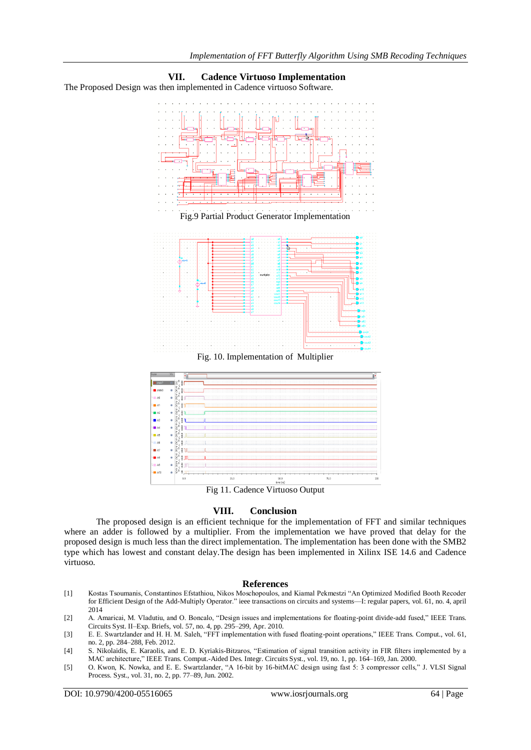

**VII. Cadence Virtuoso Implementation** The Proposed Design was then implemented in Cadence virtuoso Software.

Fig 11. Cadence Virtuoso Output

### **VIII. Conclusion**

The proposed design is an efficient technique for the implementation of FFT and similar techniques where an adder is followed by a multiplier. From the implementation we have proved that delay for the proposed design is much less than the direct implementation. The implementation has been done with the SMB2 type which has lowest and constant delay.The design has been implemented in Xilinx ISE 14.6 and Cadence virtuoso.

#### **References**

- [1] Kostas Tsoumanis, Constantinos Efstathiou, Nikos Moschopoulos, and Kiamal Pekmestzi "An Optimized Modified Booth Recoder for Efficient Design of the Add-Multiply Operator." ieee transactions on circuits and systems—I: regular papers, vol. 61, no. 4, april 2014
- [2] A. Amaricai, M. Vladutiu, and O. Boncalo, "Design issues and implementations for floating-point divide-add fused," IEEE Trans. Circuits Syst. II–Exp. Briefs, vol. 57, no. 4, pp. 295–299, Apr. 2010.
- [3] E. E. Swartzlander and H. H. M. Saleh, "FFT implementation with fused floating-point operations," IEEE Trans. Comput., vol. 61, no. 2, pp. 284–288, Feb. 2012.
- [4] S. Nikolaidis, E. Karaolis, and E. D. Kyriakis-Bitzaros, "Estimation of signal transition activity in FIR filters implemented by a MAC architecture," IEEE Trans. Comput.-Aided Des. Integr. Circuits Syst., vol. 19, no. 1, pp. 164-169, Jan. 2000.
- [5] O. Kwon, K. Nowka, and E. E. Swartzlander, "A 16-bit by 16-bitMAC design using fast 5: 3 compressor cells," J. VLSI Signal Process. Syst., vol. 31, no. 2, pp. 77–89, Jun. 2002.